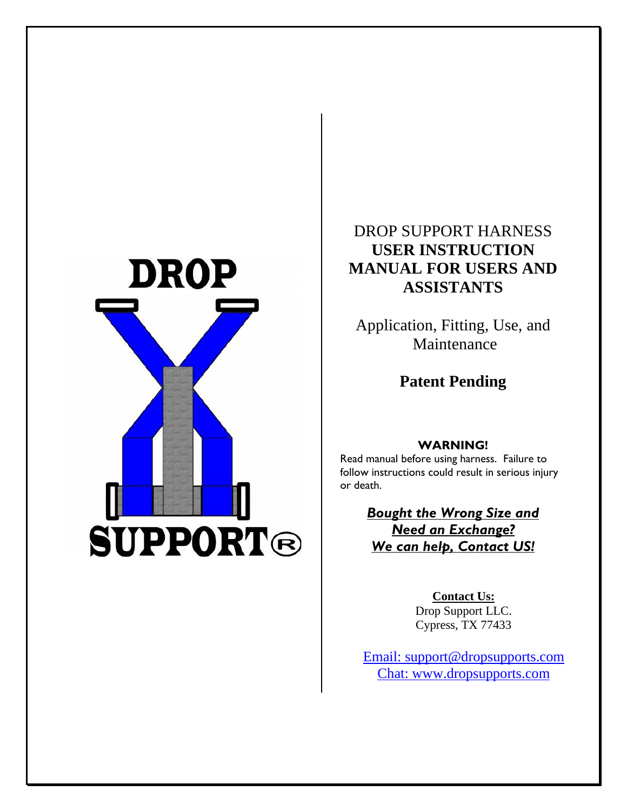

# DROP SUPPORT HARNESS **USER INSTRUCTION MANUAL FOR USERS AND ASSISTANTS**

Application, Fitting, Use, and Maintenance

**Patent Pending**

# **WARNING!**

Read manual before using harness. Failure to follow instructions could result in serious injury or death.

> *Bought the Wrong Size and Need an Exchange? We can help, Contact US!*

> > **Contact Us:** Drop Support LLC. Cypress, TX 77433

Email: support@dropsupports.com Chat: www.dropsupports.com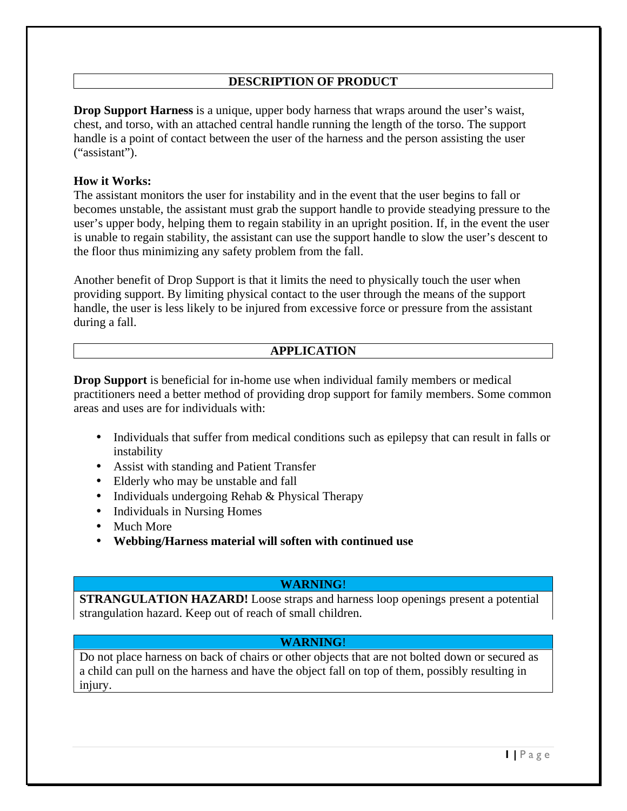# **DESCRIPTION OF PRODUCT**

**Drop Support Harness** is a unique, upper body harness that wraps around the user's waist, chest, and torso, with an attached central handle running the length of the torso. The support handle is a point of contact between the user of the harness and the person assisting the user ("assistant").

#### **How it Works:**

The assistant monitors the user for instability and in the event that the user begins to fall or becomes unstable, the assistant must grab the support handle to provide steadying pressure to the user's upper body, helping them to regain stability in an upright position. If, in the event the user is unable to regain stability, the assistant can use the support handle to slow the user's descent to the floor thus minimizing any safety problem from the fall.

Another benefit of Drop Support is that it limits the need to physically touch the user when providing support. By limiting physical contact to the user through the means of the support handle, the user is less likely to be injured from excessive force or pressure from the assistant during a fall.

# **APPLICATION**

**Drop Support** is beneficial for in-home use when individual family members or medical practitioners need a better method of providing drop support for family members. Some common areas and uses are for individuals with:

- Individuals that suffer from medical conditions such as epilepsy that can result in falls or instability
- Assist with standing and Patient Transfer
- Elderly who may be unstable and fall
- Individuals undergoing Rehab & Physical Therapy
- Individuals in Nursing Homes
- Much More
- **Webbing/Harness material will soften with continued use**

#### **WARNING**!

**STRANGULATION HAZARD!** Loose straps and harness loop openings present a potential strangulation hazard. Keep out of reach of small children.

# **WARNING**!

Do not place harness on back of chairs or other objects that are not bolted down or secured as a child can pull on the harness and have the object fall on top of them, possibly resulting in injury.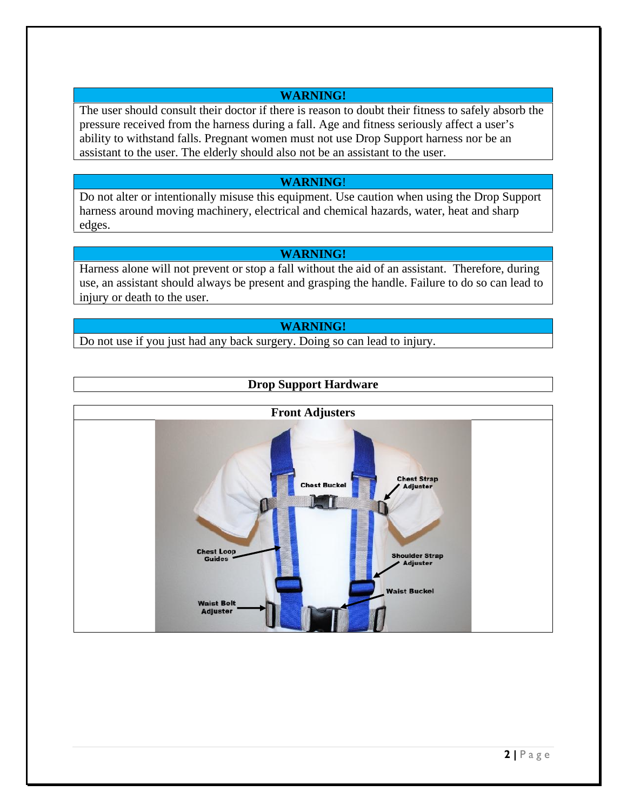#### **WARNING!**

The user should consult their doctor if there is reason to doubt their fitness to safely absorb the pressure received from the harness during a fall. Age and fitness seriously affect a user's ability to withstand falls. Pregnant women must not use Drop Support harness nor be an assistant to the user. The elderly should also not be an assistant to the user.

#### **WARNING**!

Do not alter or intentionally misuse this equipment. Use caution when using the Drop Support harness around moving machinery, electrical and chemical hazards, water, heat and sharp edges.

#### **WARNING!**

Harness alone will not prevent or stop a fall without the aid of an assistant. Therefore, during use, an assistant should always be present and grasping the handle. Failure to do so can lead to injury or death to the user.

#### **WARNING!**

Do not use if you just had any back surgery. Doing so can lead to injury.

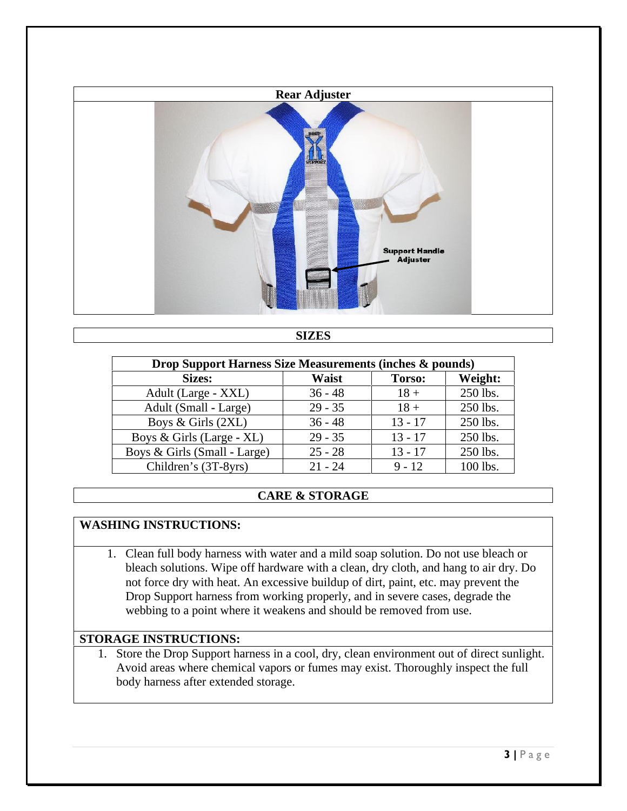

**SIZES**

| <b>Drop Support Harness Size Measurements (inches &amp; pounds)</b> |           |           |          |
|---------------------------------------------------------------------|-----------|-----------|----------|
| Sizes:                                                              | Waist     | Torso:    | Weight:  |
| Adult (Large - XXL)                                                 | $36 - 48$ | $18 +$    | 250 lbs. |
| Adult (Small - Large)                                               | $29 - 35$ | $18 +$    | 250 lbs. |
| Boys & Girls $(2XL)$                                                | $36 - 48$ | $13 - 17$ | 250 lbs. |
| Boys & Girls (Large - XL)                                           | $29 - 35$ | $13 - 17$ | 250 lbs. |
| Boys & Girls (Small - Large)                                        | $25 - 28$ | $13 - 17$ | 250 lbs. |
| Children's (3T-8yrs)                                                | $21 - 24$ | $9 - 12$  | 100 lbs. |

# **CARE & STORAGE**

# **WASHING INSTRUCTIONS:**

1. Clean full body harness with water and a mild soap solution. Do not use bleach or bleach solutions. Wipe off hardware with a clean, dry cloth, and hang to air dry. Do not force dry with heat. An excessive buildup of dirt, paint, etc. may prevent the Drop Support harness from working properly, and in severe cases, degrade the webbing to a point where it weakens and should be removed from use.

# **STORAGE INSTRUCTIONS:**

1. Store the Drop Support harness in a cool, dry, clean environment out of direct sunlight. Avoid areas where chemical vapors or fumes may exist. Thoroughly inspect the full body harness after extended storage.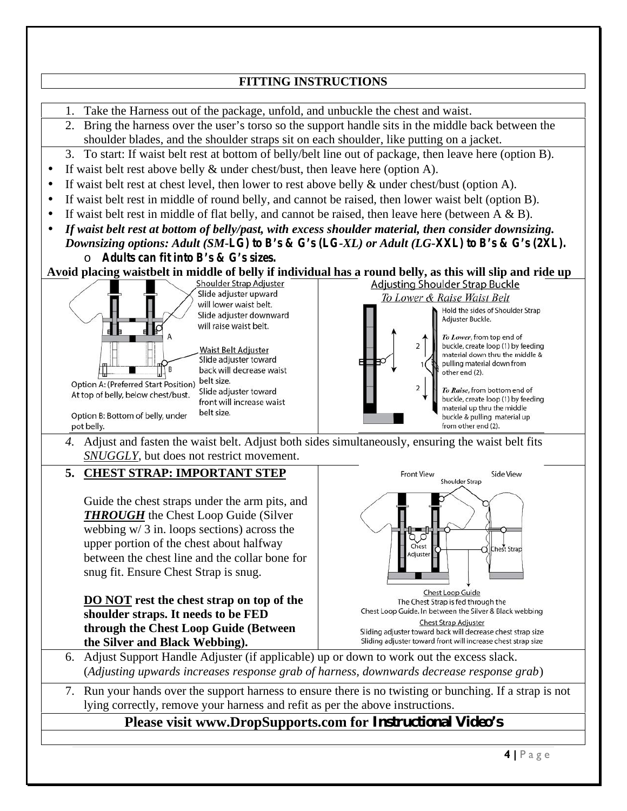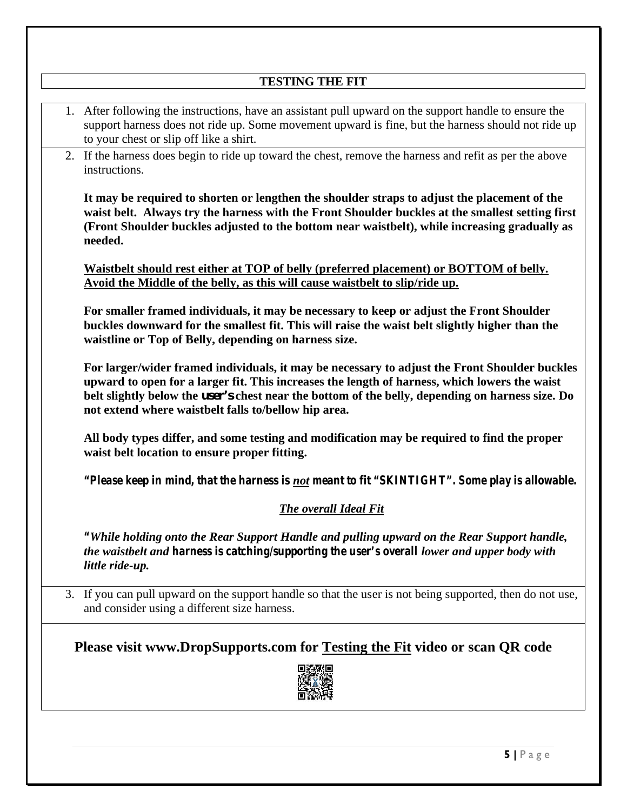| <b>TESTING THE FIT</b>                                                                                                                                                                                                                                                                                                                                     |
|------------------------------------------------------------------------------------------------------------------------------------------------------------------------------------------------------------------------------------------------------------------------------------------------------------------------------------------------------------|
| 1. After following the instructions, have an assistant pull upward on the support handle to ensure the<br>support harness does not ride up. Some movement upward is fine, but the harness should not ride up<br>to your chest or slip off like a shirt.                                                                                                    |
| 2. If the harness does begin to ride up toward the chest, remove the harness and refit as per the above<br>instructions.                                                                                                                                                                                                                                   |
| It may be required to shorten or lengthen the shoulder straps to adjust the placement of the<br>waist belt. Always try the harness with the Front Shoulder buckles at the smallest setting first<br>(Front Shoulder buckles adjusted to the bottom near waistbelt), while increasing gradually as<br>needed.                                               |
| Waistbelt should rest either at TOP of belly (preferred placement) or BOTTOM of belly.<br>Avoid the Middle of the belly, as this will cause waistbelt to slip/ride up.                                                                                                                                                                                     |
| For smaller framed individuals, it may be necessary to keep or adjust the Front Shoulder<br>buckles downward for the smallest fit. This will raise the waist belt slightly higher than the<br>waistline or Top of Belly, depending on harness size.                                                                                                        |
| For larger/wider framed individuals, it may be necessary to adjust the Front Shoulder buckles<br>upward to open for a larger fit. This increases the length of harness, which lowers the waist<br>belt slightly below the user's chest near the bottom of the belly, depending on harness size. Do<br>not extend where waistbelt falls to/bellow hip area. |
| All body types differ, and some testing and modification may be required to find the proper<br>waist belt location to ensure proper fitting.                                                                                                                                                                                                               |
| "Please keep in mind, that the harness is not meant to fit "SKINTIGHT". Some play is allowable.                                                                                                                                                                                                                                                            |
| <b>The overall Ideal Fit</b>                                                                                                                                                                                                                                                                                                                               |
| "While holding onto the Rear Support Handle and pulling upward on the Rear Support handle,<br>the waistbelt and harness is catching/supporting the user's overall lower and upper body with<br>little ride-up.                                                                                                                                             |
| 3. If you can pull upward on the support handle so that the user is not being supported, then do not use,<br>and consider using a different size harness.                                                                                                                                                                                                  |
| Please visit www.DropSupports.com for Testing the Fit video or scan QR code                                                                                                                                                                                                                                                                                |
|                                                                                                                                                                                                                                                                                                                                                            |
|                                                                                                                                                                                                                                                                                                                                                            |
| $5$   Page                                                                                                                                                                                                                                                                                                                                                 |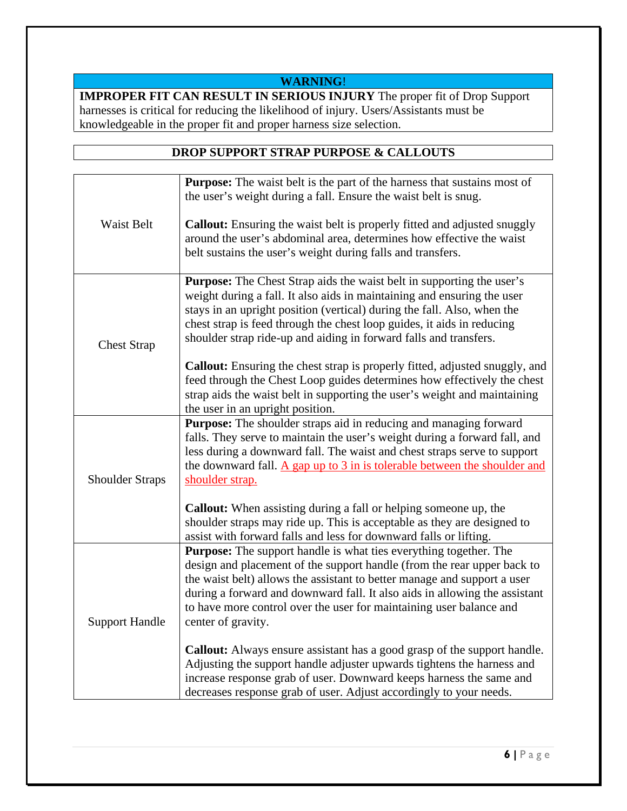# **WARNING**!

**IMPROPER FIT CAN RESULT IN SERIOUS INJURY** The proper fit of Drop Support harnesses is critical for reducing the likelihood of injury. Users/Assistants must be knowledgeable in the proper fit and proper harness size selection.

# **DROP SUPPORT STRAP PURPOSE & CALLOUTS**

| Waist Belt             | <b>Purpose:</b> The waist belt is the part of the harness that sustains most of<br>the user's weight during a fall. Ensure the waist belt is snug.                                                                                                                                                                                                                                |
|------------------------|-----------------------------------------------------------------------------------------------------------------------------------------------------------------------------------------------------------------------------------------------------------------------------------------------------------------------------------------------------------------------------------|
|                        | <b>Callout:</b> Ensuring the waist belt is properly fitted and adjusted snuggly<br>around the user's abdominal area, determines how effective the waist<br>belt sustains the user's weight during falls and transfers.                                                                                                                                                            |
| <b>Chest Strap</b>     | <b>Purpose:</b> The Chest Strap aids the waist belt in supporting the user's<br>weight during a fall. It also aids in maintaining and ensuring the user<br>stays in an upright position (vertical) during the fall. Also, when the<br>chest strap is feed through the chest loop guides, it aids in reducing<br>shoulder strap ride-up and aiding in forward falls and transfers. |
|                        | Callout: Ensuring the chest strap is properly fitted, adjusted snuggly, and<br>feed through the Chest Loop guides determines how effectively the chest<br>strap aids the waist belt in supporting the user's weight and maintaining<br>the user in an upright position.                                                                                                           |
| <b>Shoulder Straps</b> | Purpose: The shoulder straps aid in reducing and managing forward<br>falls. They serve to maintain the user's weight during a forward fall, and<br>less during a downward fall. The waist and chest straps serve to support<br>the downward fall. A gap up to 3 in is tolerable between the shoulder and<br>shoulder strap.                                                       |
|                        | <b>Callout:</b> When assisting during a fall or helping someone up, the<br>shoulder straps may ride up. This is acceptable as they are designed to<br>assist with forward falls and less for downward falls or lifting.<br>Purpose: The support handle is what ties everything together. The                                                                                      |
| <b>Support Handle</b>  | design and placement of the support handle (from the rear upper back to<br>the waist belt) allows the assistant to better manage and support a user<br>during a forward and downward fall. It also aids in allowing the assistant<br>to have more control over the user for maintaining user balance and<br>center of gravity.                                                    |
|                        | <b>Callout:</b> Always ensure assistant has a good grasp of the support handle.<br>Adjusting the support handle adjuster upwards tightens the harness and<br>increase response grab of user. Downward keeps harness the same and<br>decreases response grab of user. Adjust accordingly to your needs.                                                                            |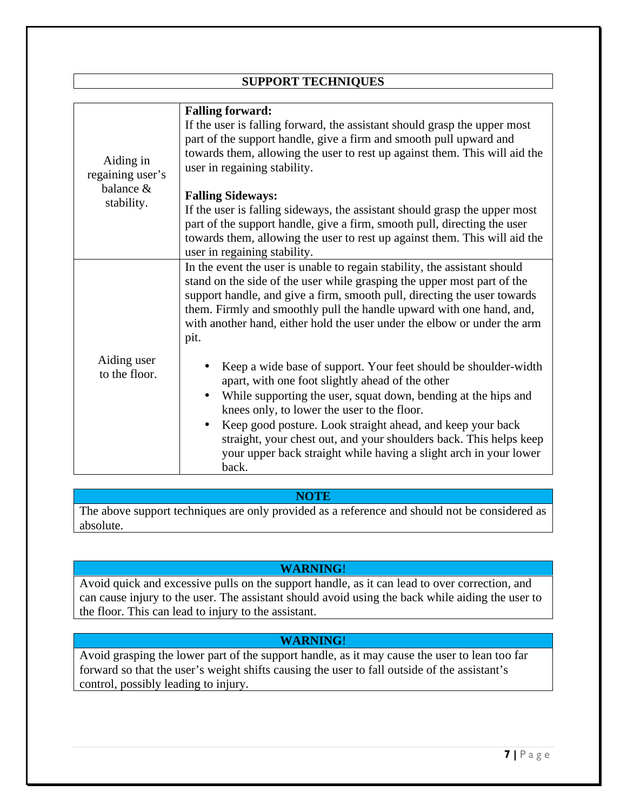| <b>SUPPORT TECHNIQUES</b>                                |                                                                                                                                                                                                                                                                                                                                                                                                                                                                                                                                                                                                                                                                                                                                                                                                                                               |  |  |  |
|----------------------------------------------------------|-----------------------------------------------------------------------------------------------------------------------------------------------------------------------------------------------------------------------------------------------------------------------------------------------------------------------------------------------------------------------------------------------------------------------------------------------------------------------------------------------------------------------------------------------------------------------------------------------------------------------------------------------------------------------------------------------------------------------------------------------------------------------------------------------------------------------------------------------|--|--|--|
|                                                          |                                                                                                                                                                                                                                                                                                                                                                                                                                                                                                                                                                                                                                                                                                                                                                                                                                               |  |  |  |
| Aiding in<br>regaining user's<br>balance &<br>stability. | <b>Falling forward:</b><br>If the user is falling forward, the assistant should grasp the upper most<br>part of the support handle, give a firm and smooth pull upward and<br>towards them, allowing the user to rest up against them. This will aid the<br>user in regaining stability.                                                                                                                                                                                                                                                                                                                                                                                                                                                                                                                                                      |  |  |  |
|                                                          | <b>Falling Sideways:</b><br>If the user is falling sideways, the assistant should grasp the upper most<br>part of the support handle, give a firm, smooth pull, directing the user<br>towards them, allowing the user to rest up against them. This will aid the<br>user in regaining stability.                                                                                                                                                                                                                                                                                                                                                                                                                                                                                                                                              |  |  |  |
| Aiding user<br>to the floor.                             | In the event the user is unable to regain stability, the assistant should<br>stand on the side of the user while grasping the upper most part of the<br>support handle, and give a firm, smooth pull, directing the user towards<br>them. Firmly and smoothly pull the handle upward with one hand, and,<br>with another hand, either hold the user under the elbow or under the arm<br>pit.<br>Keep a wide base of support. Your feet should be shoulder-width<br>apart, with one foot slightly ahead of the other<br>While supporting the user, squat down, bending at the hips and<br>knees only, to lower the user to the floor.<br>Keep good posture. Look straight ahead, and keep your back<br>straight, your chest out, and your shoulders back. This helps keep<br>your upper back straight while having a slight arch in your lower |  |  |  |

#### **NOTE**

The above support techniques are only provided as a reference and should not be considered as absolute.

# **WARNING**!

Avoid quick and excessive pulls on the support handle, as it can lead to over correction, and can cause injury to the user. The assistant should avoid using the back while aiding the user to the floor. This can lead to injury to the assistant.

# **WARNING**!

Avoid grasping the lower part of the support handle, as it may cause the user to lean too far forward so that the user's weight shifts causing the user to fall outside of the assistant's control, possibly leading to injury.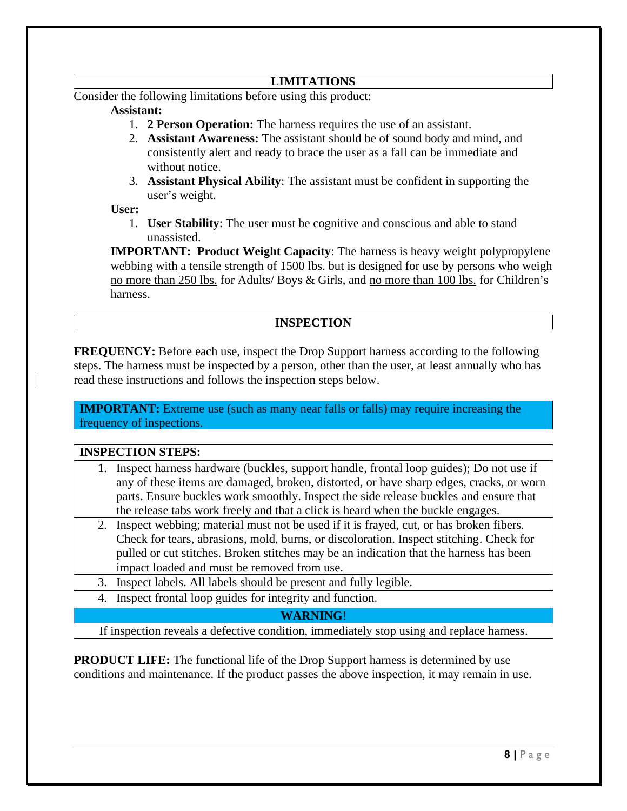#### **LIMITATIONS**

Consider the following limitations before using this product:

#### **Assistant:**

- 1. **2 Person Operation:** The harness requires the use of an assistant.
- 2. **Assistant Awareness:** The assistant should be of sound body and mind, and consistently alert and ready to brace the user as a fall can be immediate and without notice.
- 3. **Assistant Physical Ability**: The assistant must be confident in supporting the user's weight.

#### **User:**

1. **User Stability**: The user must be cognitive and conscious and able to stand unassisted.

**IMPORTANT: Product Weight Capacity**: The harness is heavy weight polypropylene webbing with a tensile strength of 1500 lbs. but is designed for use by persons who weigh no more than 250 lbs. for Adults/ Boys & Girls, and no more than 100 lbs. for Children's harness.

# **INSPECTION**

**FREQUENCY:** Before each use, inspect the Drop Support harness according to the following steps. The harness must be inspected by a person, other than the user, at least annually who has read these instructions and follows the inspection steps below.

**IMPORTANT:** Extreme use (such as many near falls or falls) may require increasing the frequency of inspections.

#### **INSPECTION STEPS:**

- 1. Inspect harness hardware (buckles, support handle, frontal loop guides); Do not use if any of these items are damaged, broken, distorted, or have sharp edges, cracks, or worn parts. Ensure buckles work smoothly. Inspect the side release buckles and ensure that the release tabs work freely and that a click is heard when the buckle engages.
- 2. Inspect webbing; material must not be used if it is frayed, cut, or has broken fibers. Check for tears, abrasions, mold, burns, or discoloration. Inspect stitching. Check for pulled or cut stitches. Broken stitches may be an indication that the harness has been impact loaded and must be removed from use.
- 3. Inspect labels. All labels should be present and fully legible.
- 4. Inspect frontal loop guides for integrity and function.

# **WARNING**!

If inspection reveals a defective condition, immediately stop using and replace harness.

**PRODUCT LIFE:** The functional life of the Drop Support harness is determined by use conditions and maintenance. If the product passes the above inspection, it may remain in use.